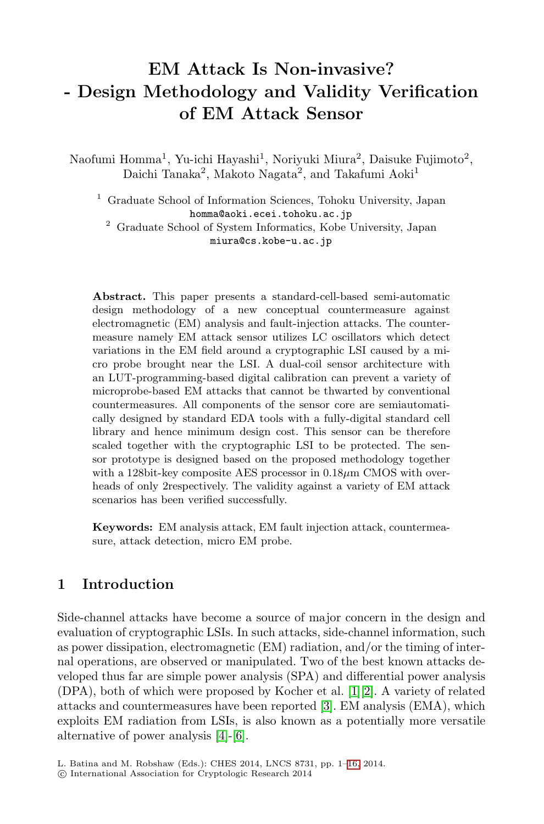# **EM Attack Is Non-invasive? - Design Methodology and Validity Verification of EM Attack Sensor**

Naofumi Homma<sup>1</sup>, Yu-ichi Hayashi<sup>1</sup>, Noriyuki Miura<sup>2</sup>, Daisuke Fujimoto<sup>2</sup>, Daichi Tanaka<sup>2</sup>, Makoto Nagata<sup>2</sup>, and Takafumi Aoki<sup>1</sup>

<sup>1</sup> Graduate School of Information Sciences, Tohoku University, Japan<br>homma@aoki.ecei.tohoku.ac.jp

<sup>2</sup> Graduate School of System Informatics, Kobe University, Japan  $\frac{1}{2}$ 

**Abstract.** This paper presents a standard-cell-based semi-automatic design methodology of a new conceptual countermeasure against electromagnetic (EM) analysis and fault-injection attacks. The countermeasure namely EM attack sensor utilizes LC oscillators which detect variations in the EM field around a cryptographic LSI caused by a micro probe brought near the LSI. A dual-coil sensor architecture with an LUT-programming-based digital calibration can prevent a variety of microprobe-based EM attacks that cannot be thwarted by conventional countermeasures. All components of the sensor core are semiautomatically designed by standard EDA tools with a fully-digital standard cell library and hence minimum design cost. This sensor can be therefore scaled together with the cryptographic LSI to be protected. The sensor prototype is designed based on the proposed methodology together with a 128bit-key composite AES processor in  $0.18 \mu$ m CMOS with overheads of only 2respectively. The validity against a variety of EM attack scenarios has been verified successfully.

**Keywords:** EM analysis attack, EM fault injection attack, countermeasure, attack detection, micro EM probe.

## **1 Introduction**

Side-chann[el a](#page-14-0)[tta](#page-14-1)cks have become a source of major concern in the design and evaluation of cryptographic LSIs. In such attacks, side-channel information, such as power dissipation, electromagneti[c \(E](#page-15-0)M) radiation, and/or the timing of internal operations, are observed or manipulated. Two of the best known attacks developed thus far are simple power analysis (SPA) and differential power analysis (DPA), both of which were proposed by Kocher et al. [1][2]. A variety of related attacks and countermeasures have been reported [3]. EM analysis (EMA), which exploits EM radiation from LSIs, is also known as a potentially more versatile alternative of power analysis [4]-[6].

L. Batina and M. Robshaw (Eds.): CHES 2014, LNCS 8731, pp. 1–16, 2014.

<sup>-</sup>c International Association for Cryptologic Research 2014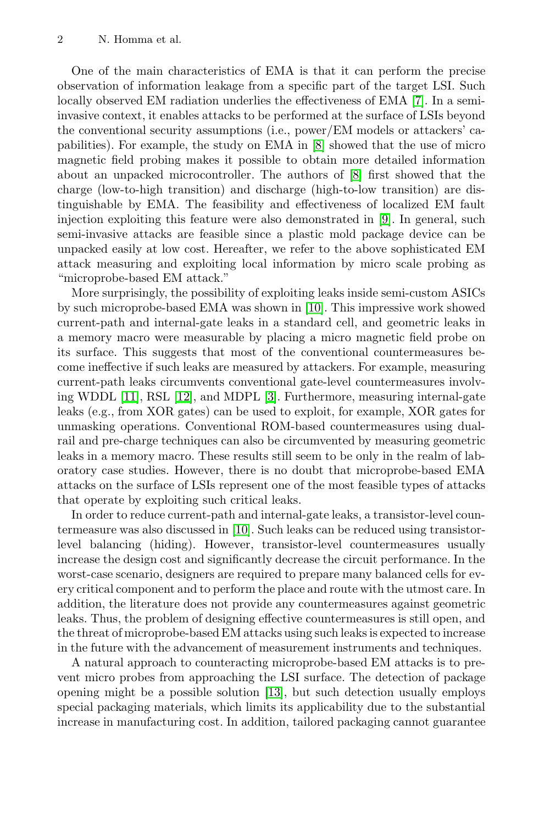#### 2 N. Homma et al.

One of the main characteristics [of](#page-14-2) EMA is that it can perform the precise observation of information leakage from a specific part of the target LSI. Such locally observed EM radiation underlies t[he](#page-14-3) effectiveness of EMA [7]. In a semiinvasive context, it enables attacks to be performed at the surface of LSIs beyond the conventional security assumptions (i.e., power/EM models or attackers' capabilities). For example, the study on EMA in [8] showed that the use of micro magnetic field probing makes it possible to obtain more detailed information about an unpacked microcontroller. The authors of [8] first showed that the charge (low-to-high transiti[on\)](#page-14-4) and discharge (high-to-low transition) are distinguishable by EMA. The feasibility and effectiveness of localized EM fault injection exploiting this feature were also demonstrated in [9]. In general, such semi-invasive attacks are feasible since a plastic mold package device can be unpacked easily at low cost. Hereafter, we refer to the above sophisticated EM attack measuring and exploiting local information by micro scale probing as "mi[crop](#page-15-1)robe-based [EM](#page-14-5) attack."

More surprisingly, the possibility of exploiting leaks inside semi-custom ASICs by such microprobe-based EMA was shown in [10]. This impressive work showed current-path and internal-gate leaks in a standard cell, and geometric leaks in a memory macro were measurable by placing a micro magnetic field probe on its surface. This suggests that most of the conventional countermeasures become ineffective if such leaks are measured by attackers. For example, measuring current-path leaks circumvents conventional gate-level countermeasures involving WDDL [11], RSL [12], and MDPL [3]. Furthermore, measuring internal-gate leaks (e.g., fro[m X](#page-14-4)OR gates) can be used to exploit, for example, XOR gates for unmasking operations. Conventional ROM-based countermeasures using dualrail and pre-charge techniques can also be circumvented by measuring geometric leaks in a memory macro. These results still seem to be only in the realm of laboratory case studies. However, there is no doubt that microprobe-based EMA attacks on the surface of LSIs represent one of the most feasible types of attacks that operate by exploiting such critical leaks.

In order to reduce current-path and internal-gate leaks, a transistor-level countermeasure was also discussed in [10]. Such leaks can be reduced using transistorlevel balancing (hiding). However, transistor-level countermeasures usually increase the design cost and significantly decrease the circuit performance. In the worst-case scenario, [desi](#page-15-2)gners are required to prepare many balanced cells for every critical component and to perform the place and route with the utmost care. In addition, the literature does not provide any countermeasures against geometric leaks. Thus, the problem of designing effective countermeasures is still open, and the threat of microprobe-based EM attacks using such leaks is expected to increase in the future with the advancement of measurement instruments and techniques.

A natural approach to counteracting microprobe-based EM attacks is to prevent micro probes from approaching the LSI surface. The detection of package opening might be a possible solution [13], but such detection usually employs special packaging materials, which limits its applicability due to the substantial increase in manufacturing cost. In addition, tailored packaging cannot guarantee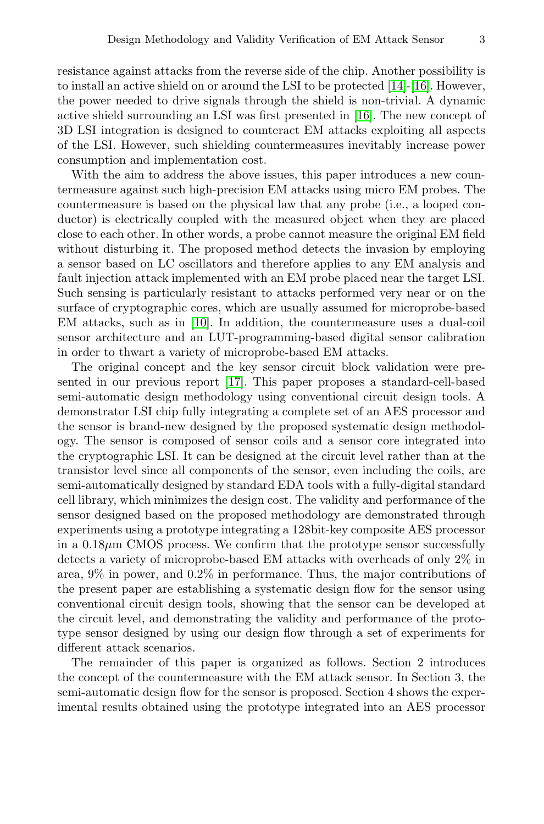resistance against attacks from the reverse side of the chip. Another possibility is to install an active shield on or around the LSI to be protected [14]-[16]. However, the power needed to drive signals through the shield is non-trivial. A dynamic active shield surrounding an LSI was first presented in [16]. The new concept of 3D LSI integration is designed to counteract EM attacks exploiting all aspects of the LSI. However, such shielding countermeasures inevitably increase power consumption and implementation cost.

With the aim to address the above issues, this paper introduces a new countermeasure against such high-precision EM attacks using micro EM probes. The counte[rme](#page-14-4)asure is based on the physical law that any probe (i.e., a looped conductor) is electrically coupled with the measured object when they are placed close to each other. In other words, a probe cannot measure the original EM field without disturbing it. The proposed method detects the invasion by employing a sensor base[d o](#page-15-3)n LC oscillators and therefore applies to any EM analysis and fault injection attack implemented with an EM probe placed near the target LSI. Such sensing is particularly resistant to attacks performed very near or on the surface of cryptographic cores, which are usually assumed for microprobe-based EM attacks, such as in [10]. In addition, the countermeasure uses a dual-coil sensor architecture and an LUT-programming-based digital sensor calibration in order to thwart a variety of microprobe-based EM attacks.

The original concept and the key sensor circuit block validation were presented in our previous report [17]. This paper proposes a standard-cell-based semi-automatic design methodology using conventional circuit design tools. A demonstrator LSI chip fully integrating a complete set of an AES processor and the sensor is brand-new designed by the proposed systematic design methodology. The sensor is composed of sensor coils and a sensor core integrated into the cryptographic LSI. It can be designed at the circuit level rather than at the transistor level since all components of the sensor, even including the coils, are semi-automatically designed by standard EDA tools with a fully-digital standard cell library, which minimizes the design cost. The validity and performance of the sensor designed based on the proposed methodology are demonstrated through experiments using a prototype integrating a 128bit-key composite AES processor in a  $0.18\mu$ m CMOS process. We confirm that the prototype sensor successfully detects a variety of microprobe-based EM attacks with overheads of only 2% in area, 9% in power, and 0.2% in performance. Thus, the major contributions of the present paper are establishing a systematic design flow for the sensor using conventional circuit design tools, showing that the sensor can be developed at the circuit level, and demonstrating the validity and performance of the prototype sensor designed by using our design flow through a set of experiments for different attack scenarios.

The remainder of this paper is organized as follows. Section 2 introduces the concept of the countermeasure with the EM attack sensor. In Section 3, the semi-automatic design flow for the sensor is proposed. Section 4 shows the experimental results obtained using the prototype integrated into an AES processor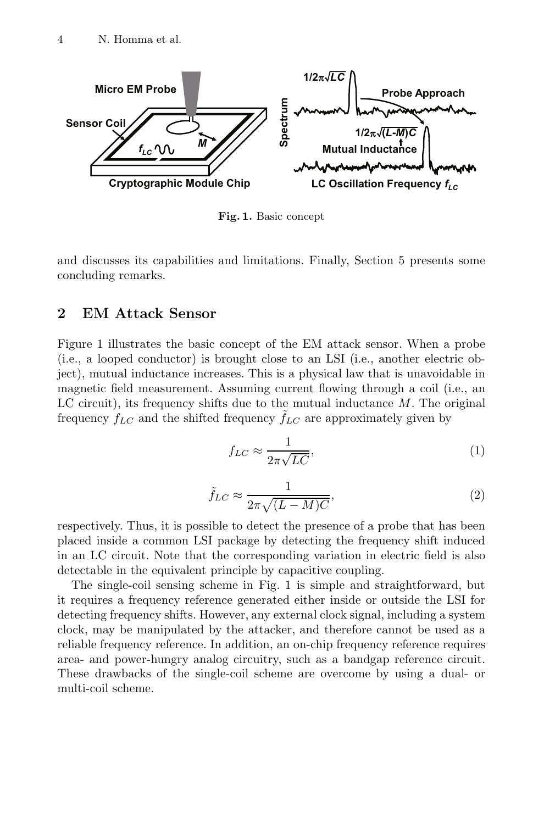

**Fig. 1.** Basic concept

and discusses its capabilities and limitations. Finally, Section 5 presents some concluding remarks.

## **2 EM Attack Sensor**

Figure 1 illustrates the basic concept of the EM attack sensor. When a probe (i.e., a looped conductor) is brought close to an LSI (i.e., another electric object), mutual inductance increases. This is a physical law that is unavoidable in magnetic field measurement. Assuming current flowing through a coil (i.e., an LC circuit), its frequency shifts due to the mutual inductance  $M$ . The original frequency  $f_{LC}$  and the shifted frequency  $\hat{f}_{LC}$  are approximately given by

$$
f_{LC} \approx \frac{1}{2\pi\sqrt{LC}},\tag{1}
$$

$$
\tilde{f}_{LC} \approx \frac{1}{2\pi\sqrt{(L-M)C}},\tag{2}
$$

respectively. Thus, it is possible to detect the presence of a probe that has been placed inside a common LSI package by detecting the frequency shift induced in an LC circuit. Note that the corresponding variation in electric field is also detectable in the equivalent principle by capacitive coupling.

The single-coil sensing scheme in Fig. 1 is simple and straightforward, but it requires a frequency reference generated either inside or outside the LSI for detecting frequency shifts. However, any external clock signal, including a system clock, may be manipulated by the attacker, and therefore cannot be used as a reliable frequency reference. In addition, an on-chip frequency reference requires area- and power-hungry analog circuitry, such as a bandgap reference circuit. These drawbacks of the single-coil scheme are overcome by using a dual- or multi-coil scheme.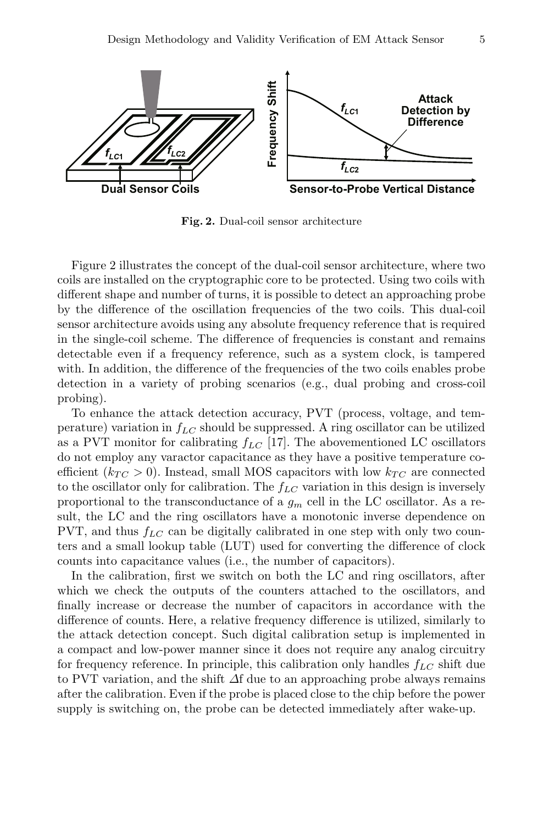

**Fig. 2.** Dual-coil sensor architecture

Figure 2 illustrates the concept of the dual-coil sensor architecture, where two coils are installed on the cryptographic core to be protected. Using two coils with different shape and number of turns, it is possible to detect an approaching probe by the difference of the oscillation frequencies of the two coils. This dual-coil sensor architecture avoids using any absolute frequency reference that is required in the single-coil scheme. The difference of frequencies is constant and remains detectable even if a frequency reference, such as a system clock, is tampered with. In addition, the difference of the frequencies of the two coils enables probe detection in a variety of probing scenarios (e.g., dual probing and cross-coil probing).

To enhance the attack detection accuracy, PVT (process, voltage, and temperature) variation in <sup>f</sup>*LC* should be suppressed. A ring oscillator can be utilized as a PVT monitor for calibrating  $f_{LC}$  [17]. The abovementioned LC oscillators do not employ any varactor capacitance as they have a positive temperature coefficient  $(k_{TC} > 0)$ . Instead, small MOS capacitors with low  $k_{TC}$  are connected to the oscillator only for calibration. The <sup>f</sup>*LC* variation in this design is inversely proportional to the transconductance of a  $g_m$  cell in the LC oscillator. As a result, the LC and the ring oscillators have a monotonic inverse dependence on PVT, and thus <sup>f</sup>*LC* can be digitally calibrated in one step with only two counters and a small lookup table (LUT) used for converting the difference of clock counts into capacitance values (i.e., the number of capacitors).

In the calibration, first we switch on both the LC and ring oscillators, after which we check the outputs of the counters attached to the oscillators, and finally increase or decrease the number of capacitors in accordance with the difference of counts. Here, a relative frequency difference is utilized, similarly to the attack detection concept. Such digital calibration setup is implemented in a compact and low-power manner since it does not require any analog circuitry for frequency reference. In principle, this calibration only handles <sup>f</sup>*LC* shift due to PVT variation, and the shift  $\Delta f$  due to an approaching probe always remains after the calibration. Even if the probe is placed close to the chip before the power supply is switching on, the probe can be detected immediately after wake-up.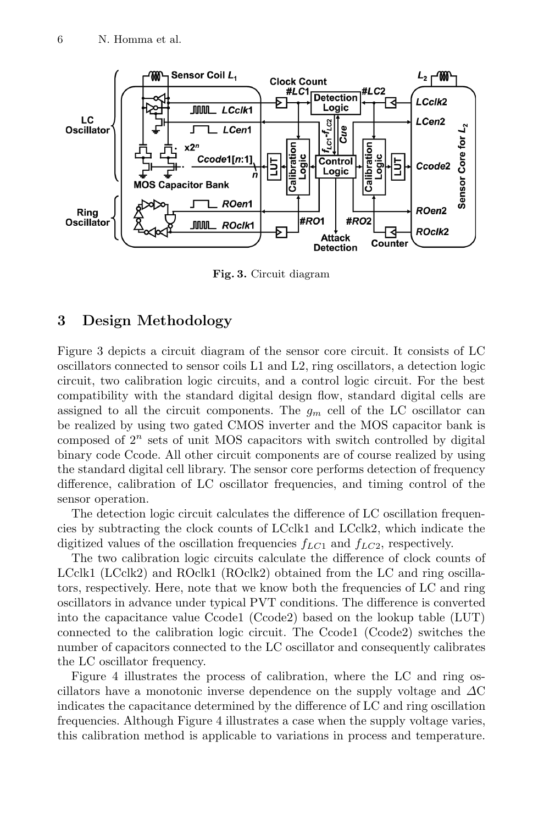

**Fig. 3.** Circuit diagram

## **3 Design Methodology**

Figure 3 depicts a circuit diagram of the sensor core circuit. It consists of LC oscillators connected to sensor coils L1 and L2, ring oscillators, a detection logic circuit, two calibration logic circuits, and a control logic circuit. For the best compatibility with the standard digital design flow, standard digital cells are assigned to all the circuit components. The  $g_m$  cell of the LC oscillator can be realized by using two gated CMOS inverter and the MOS capacitor bank is composed of 2*<sup>n</sup>* sets of unit MOS capacitors with switch controlled by digital binary code Ccode. All other circuit components are of course realized by using the standard digital cell library. The sensor core performs detection of frequency difference, calibration of LC oscillator frequencies, and timing control of the sensor operation.

The detection logic circuit calculates the difference of LC oscillation frequencies by subtracting the clock counts of LCclk1 and LCclk2, which indicate the digitized values of the oscillation frequencies <sup>f</sup>*LC*<sup>1</sup> and <sup>f</sup>*LC*<sup>2</sup>, respectively.

The two calibration logic circuits calculate the difference of clock counts of LCclk1 (LCclk2) and ROclk1 (ROclk2) obtained from the LC and ring oscillators, respectively. Here, note that we know both the frequencies of LC and ring oscillators in advance under typical PVT conditions. The difference is converted into the capacitance value Ccode1 (Ccode2) based on the lookup table (LUT) connected to the calibration logic circuit. The Ccode1 (Ccode2) switches the number of capacitors connected to the LC oscillator and consequently calibrates the LC oscillator frequency.

Figure 4 illustrates the process of calibration, where the LC and ring oscillators have a monotonic inverse dependence on the supply voltage and  $\Delta C$ indicates the capacitance determined by the difference of LC and ring oscillation frequencies. Although Figure 4 illustrates a case when the supply voltage varies, this calibration method is applicable to variations in process and temperature.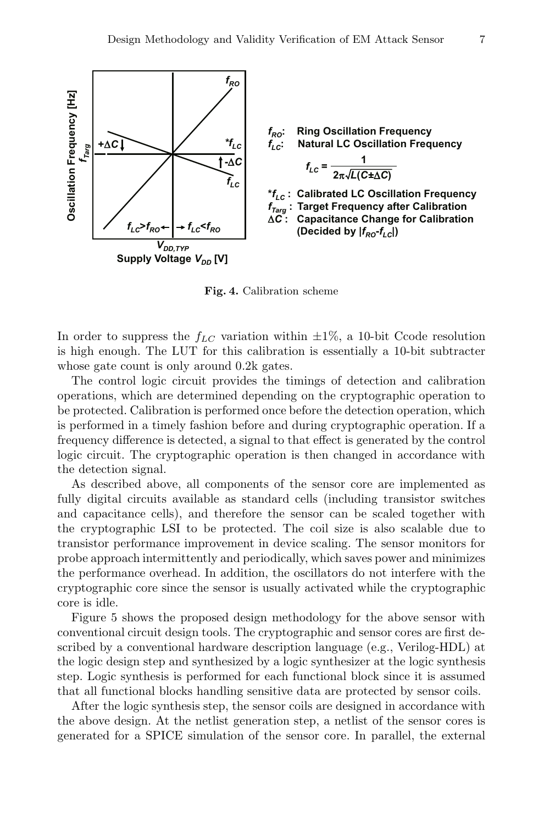



$$
f_{LC} = \frac{1}{2\pi\sqrt{L(C \pm \Delta C)}}
$$

**\****fLC* **: Calibrated LC Oscillation Frequency** *fTarg* **: Target Frequency after Calibration** <sup>Δ</sup>*C* **: Capacitance Change for Calibration**  $(Decided by |f_{RO} - f_{LC}|)$ 

**Fig. 4.** Calibration scheme

In order to suppress the  $f_{LC}$  variation within  $\pm 1\%$ , a 10-bit Ccode resolution is high enough. The LUT for this calibration is essentially a 10-bit subtracter whose gate count is only around  $0.2k$  gates.

The control logic circuit provides the timings of detection and calibration operations, which are determined depending on the cryptographic operation to be protected. Calibration is performed once before the detection operation, which is performed in a timely fashion before and during cryptographic operation. If a frequency difference is detected, a signal to that effect is generated by the control logic circuit. The cryptographic operation is then changed in accordance with the detection signal.

As described above, all components of the sensor core are implemented as fully digital circuits available as standard cells (including transistor switches and capacitance cells), and therefore the sensor can be scaled together with the cryptographic LSI to be protected. The coil size is also scalable due to transistor performance improvement in device scaling. The sensor monitors for probe approach intermittently and periodically, which saves power and minimizes the performance overhead. In addition, the oscillators do not interfere with the cryptographic core since the sensor is usually activated while the cryptographic core is idle.

Figure 5 shows the proposed design methodology for the above sensor with conventional circuit design tools. The cryptographic and sensor cores are first described by a conventional hardware description language (e.g., Verilog-HDL) at the logic design step and synthesized by a logic synthesizer at the logic synthesis step. Logic synthesis is performed for each functional block since it is assumed that all functional blocks handling sensitive data are protected by sensor coils.

After the logic synthesis step, the sensor coils are designed in accordance with the above design. At the netlist generation step, a netlist of the sensor cores is generated for a SPICE simulation of the sensor core. In parallel, the external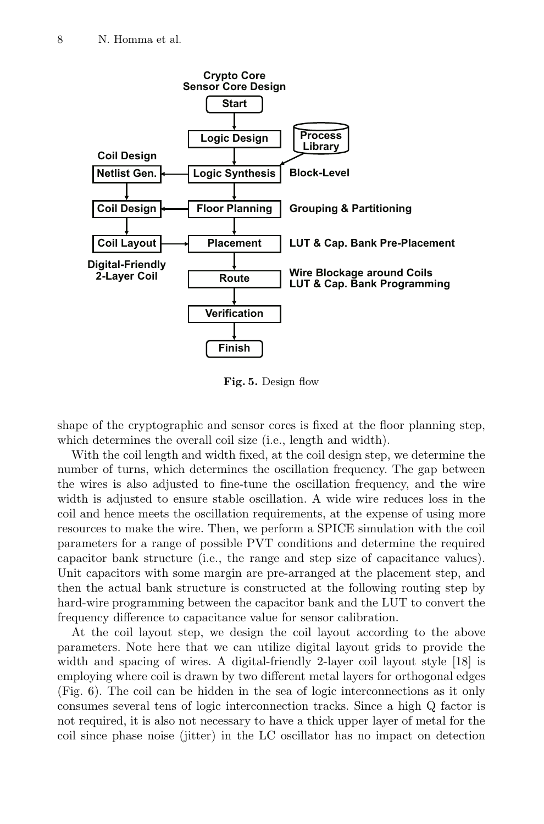

**Fig. 5.** Design flow

shape of the cryptographic and sensor cores is fixed at the floor planning step, which determines the overall coil size (i.e., length and width).

With the coil length and width fixed, at the coil design step, we determine the number of turns, which determines the oscillation frequency. The gap between the wires is also adjusted to fine-tune the oscillation frequency, and the wire width is adjusted to ensure stable oscillation. A wide wire reduces loss in the coil and hence meets the oscillation requirements, at the expense of using more resources to make the wire. Then, we perform a SPICE simulation with the coil parameters for a range of possible PVT conditions and determine the required capacitor bank structure (i.e., the range and step size of capacitance values). Unit capacitors with some margin are pre-arranged at the placement step, and then the actual bank structure is constructed at the following routing step by hard-wire programming between the capacitor bank and the LUT to convert the frequency difference to capacitance value for sensor calibration.

At the coil layout step, we design the coil layout according to the above parameters. Note here that we can utilize digital layout grids to provide the width and spacing of wires. A digital-friendly 2-layer coil layout style [18] is employing where coil is drawn by two different metal layers for orthogonal edges (Fig. 6). The coil can be hidden in the sea of logic interconnections as it only consumes several tens of logic interconnection tracks. Since a high Q factor is not required, it is also not necessary to have a thick upper layer of metal for the coil since phase noise (jitter) in the LC oscillator has no impact on detection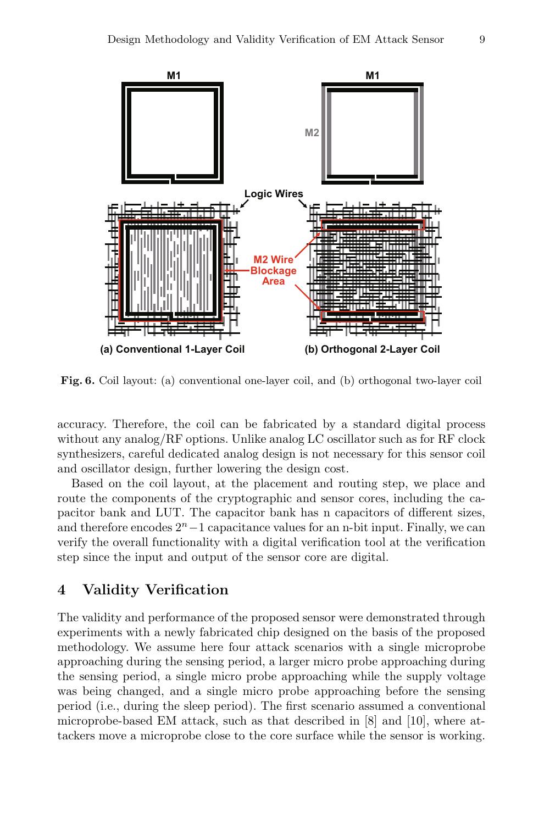

**Fig. 6.** Coil layout: (a) conventional one-layer coil, and (b) orthogonal two-layer coil

accuracy. Therefore, the coil can be fabricated by a standard digital process without any analog/RF options. Unlike analog LC oscillator such as for RF clock synthesizers, careful dedicated analog design is not necessary for this sensor coil and oscillator design, further lowering the design cost.

Based on the coil layout, at the placement and routing step, we place and route the components of the cryptographic and sensor cores, including the capacitor bank and LUT. The capacitor bank has n capacitors of different sizes, and therefore encodes  $2<sup>n</sup> - 1$  capacitance values for an n-bit input. Finally, we can verify the overall functionality with a digital verification tool at the verification step since the input and output of the sensor core are digital.

### **4 Validity Verification**

The validity and performance of the proposed sensor were demonstrated through experiments with a newly fabricated chip designed on the basis of the proposed methodology. We assume here four attack scenarios with a single microprobe approaching during the sensing period, a larger micro probe approaching during the sensing period, a single micro probe approaching while the supply voltage was being changed, and a single micro probe approaching before the sensing period (i.e., during the sleep period). The first scenario assumed a conventional microprobe-based EM attack, such as that described in [8] and [10], where attackers move a microprobe close to the core surface while the sensor is working.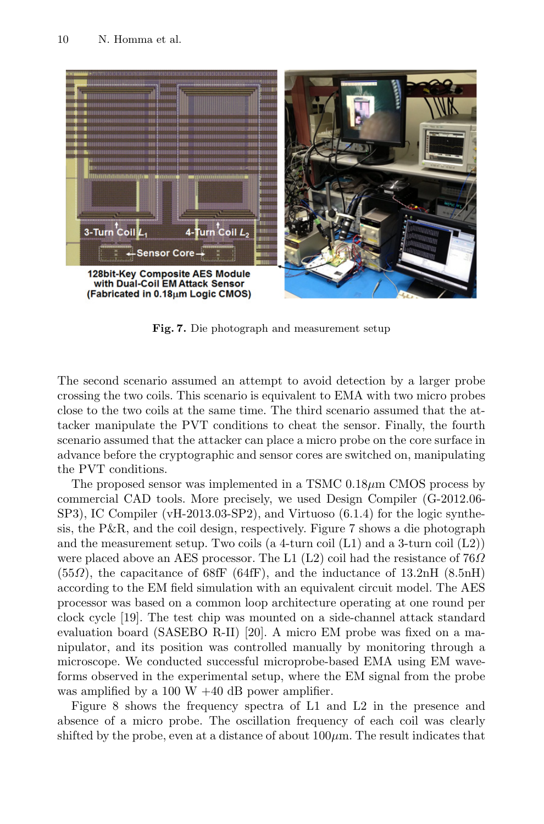

**Fig. 7.** Die photograph and measurement setup

The second scenario assumed an attempt to avoid detection by a larger probe crossing the two coils. This scenario is equivalent to EMA with two micro probes close to the two coils at the same time. The third scenario assumed that the attacker manipulate the PVT conditions to cheat the sensor. Finally, the fourth scenario assumed that the attacker can place a micro probe on the core surface in advance before the cryptographic and sensor cores are switched on, manipulating the PVT conditions.

The proposed sensor was implemented in a TSMC  $0.18 \mu m$  CMOS process by commercial CAD tools. More precisely, we used Design Compiler (G-2012.06- SP3), IC Compiler (vH-2013.03-SP2), and Virtuoso (6.1.4) for the logic synthesis, the P&R, and the coil design, respectively. Figure 7 shows a die photograph and the measurement setup. Two coils (a 4-turn coil  $(L1)$ ) and a 3-turn coil  $(L2)$ ) were placed above an AES processor. The L1 (L2) coil had the resistance of  $76\Omega$  $(55\Omega)$ , the capacitance of 68fF (64fF), and the inductance of 13.2nH (8.5nH) according to the EM field simulation with an equivalent circuit model. The AES processor was based on a common loop architecture operating at one round per clock cycle [19]. The test chip was mounted on a side-channel attack standard evaluation board (SASEBO R-II) [20]. A micro EM probe was fixed on a manipulator, and its position was controlled manually by monitoring through a microscope. We conducted successful microprobe-based EMA using EM waveforms observed in the experimental setup, where the EM signal from the probe was amplified by a 100 W  $+40$  dB power amplifier.

Figure 8 shows the frequency spectra of L1 and L2 in the presence and absence of a micro probe. The oscillation frequency of each coil was clearly shifted by the probe, even at a distance of about  $100 \mu$ m. The result indicates that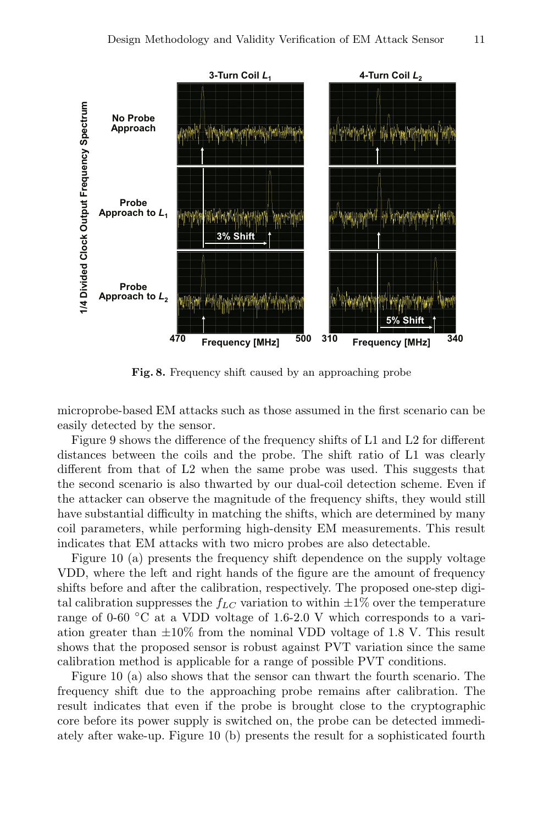

**Fig. 8.** Frequency shift caused by an approaching probe

microprobe-based EM attacks such as those assumed in the first scenario can be easily detected by the sensor.

Figure 9 shows the difference of the frequency shifts of L1 and L2 for different distances between the coils and the probe. The shift ratio of L1 was clearly different from that of L2 when the same probe was used. This suggests that the second scenario is also thwarted by our dual-coil detection scheme. Even if the attacker can observe the magnitude of the frequency shifts, they would still have substantial difficulty in matching the shifts, which are determined by many coil parameters, while performing high-density EM measurements. This result indicates that EM attacks with two micro probes are also detectable.

Figure 10 (a) presents the frequency shift dependence on the supply voltage VDD, where the left and right hands of the figure are the amount of frequency shifts before and after the calibration, respectively. The proposed one-step digital calibration suppresses the  $f_{LC}$  variation to within  $\pm 1\%$  over the temperature range of 0-60  $\degree$ C at a VDD voltage of 1.6-2.0 V which corresponds to a variation greater than  $\pm 10\%$  from the nominal VDD voltage of 1.8 V. This result shows that the proposed sensor is robust against PVT variation since the same calibration method is applicable for a range of possible PVT conditions.

Figure 10 (a) also shows that the sensor can thwart the fourth scenario. The frequency shift due to the approaching probe remains after calibration. The result indicates that even if the probe is brought close to the cryptographic core before its power supply is switched on, the probe can be detected immediately after wake-up. Figure 10 (b) presents the result for a sophisticated fourth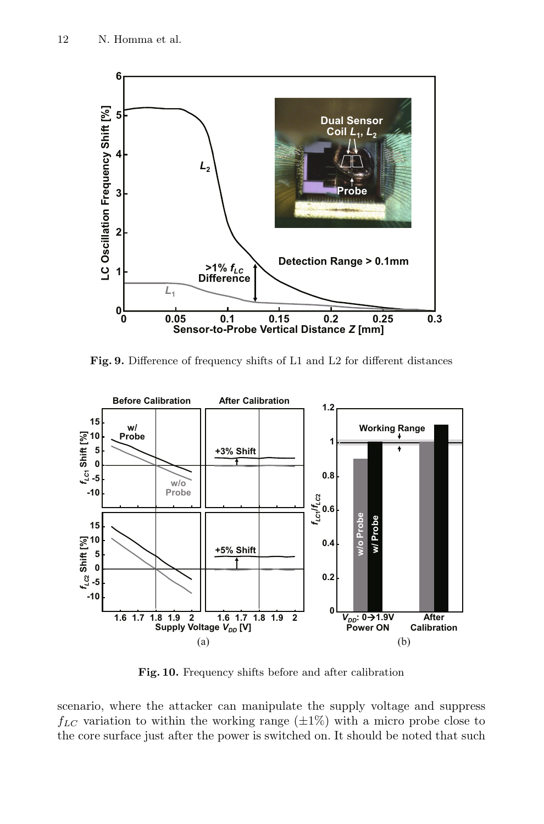

**Fig. 9.** Difference of frequency shifts of L1 and L2 for different distances



**Fig. 10.** Frequency shifts before and after calibration

scenario, where the attacker can manipulate the supply voltage and suppress  $f_{LC}$  variation to within the working range  $(\pm 1\%)$  with a micro probe close to the core surface just after the power is switched on. It should be noted that such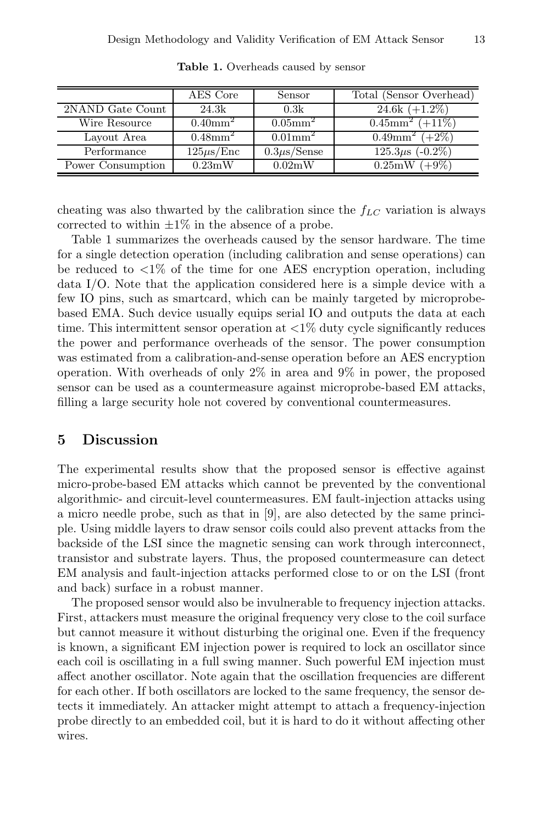|                   | AES Core               | Sensor                 | Total (Sensor Overhead)            |
|-------------------|------------------------|------------------------|------------------------------------|
| 2NAND Gate Count  | 24.3k                  | 0.3k                   | $24.6k (+1.2\%)$                   |
| Wire Resource     | $0.40$ mm <sup>2</sup> | $0.05$ mm <sup>2</sup> | $0.45$ mm <sup>2</sup> (+11\%)     |
| Layout Area       | $0.48$ mm <sup>2</sup> | $0.01$ mm <sup>2</sup> | $(+2\%)$<br>$0.49$ mm <sup>2</sup> |
| Performance       | $125\mu s$ /Enc        | $0.3 \mu s$ /Sense     | $125.3\mu s$ (-0.2%)               |
| Power Consumption | 0.23mW                 | 0.02mW                 | $0.25mW (+9%)$                     |

**Table 1.** Overheads caused by sensor

cheating was also thwarted by the calibration since the  $f_{LC}$  variation is always corrected to within  $\pm 1\%$  in the absence of a probe.

Table 1 summarizes the overheads caused by the sensor hardware. The time for a single detection operation (including calibration and sense operations) can be reduced to  $\langle 1\% \rangle$  of the time for one AES encryption operation, including data I/O. Note that the application considered here is a simple device with a few IO pins, such as smartcard, which can be mainly targeted by microprobebased EMA. Such device usually equips serial IO and outputs the data at each time. This intermittent sensor operation at  $\langle 1\%$  duty cycle significantly reduces the power and performance overheads of the sensor. The power consumption was estimated from a calibration-and-sense operation before an AES encryption operation. With overheads of only 2% in area and 9% in power, the proposed sensor can be used as a countermeasure against microprobe-based EM attacks, filling a large security hole not covered by conventional countermeasures.

#### **5 Discussion**

The experimental results show that the proposed sensor is effective against micro-probe-based EM attacks which cannot be prevented by the conventional algorithmic- and circuit-level countermeasures. EM fault-injection attacks using a micro needle probe, such as that in [9], are also detected by the same principle. Using middle layers to draw sensor coils could also prevent attacks from the backside of the LSI since the magnetic sensing can work through interconnect, transistor and substrate layers. Thus, the proposed countermeasure can detect EM analysis and fault-injection attacks performed close to or on the LSI (front and back) surface in a robust manner.

The proposed sensor would also be invulnerable to frequency injection attacks. First, attackers must measure the original frequency very close to the coil surface but cannot measure it without disturbing the original one. Even if the frequency is known, a significant EM injection power is required to lock an oscillator since each coil is oscillating in a full swing manner. Such powerful EM injection must affect another oscillator. Note again that the oscillation frequencies are different for each other. If both oscillators are locked to the same frequency, the sensor detects it immediately. An attacker might attempt to attach a frequency-injection probe directly to an embedded coil, but it is hard to do it without affecting other wires.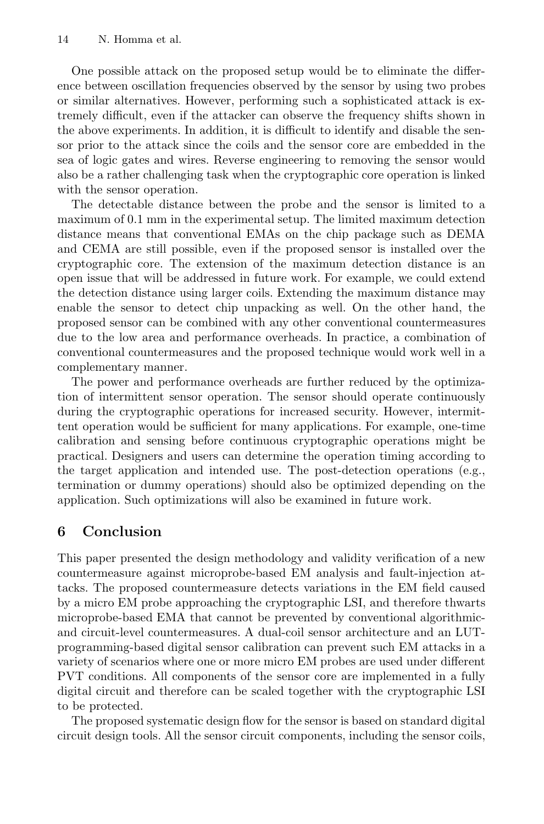One possible attack on the proposed setup would be to eliminate the difference between oscillation frequencies observed by the sensor by using two probes or similar alternatives. However, performing such a sophisticated attack is extremely difficult, even if the attacker can observe the frequency shifts shown in the above experiments. In addition, it is difficult to identify and disable the sensor prior to the attack since the coils and the sensor core are embedded in the sea of logic gates and wires. Reverse engineering to removing the sensor would also be a rather challenging task when the cryptographic core operation is linked with the sensor operation.

The detectable distance between the probe and the sensor is limited to a maximum of 0.1 mm in the experimental setup. The limited maximum detection distance means that conventional EMAs on the chip package such as DEMA and CEMA are still possible, even if the proposed sensor is installed over the cryptographic core. The extension of the maximum detection distance is an open issue that will be addressed in future work. For example, we could extend the detection distance using larger coils. Extending the maximum distance may enable the sensor to detect chip unpacking as well. On the other hand, the proposed sensor can be combined with any other conventional countermeasures due to the low area and performance overheads. In practice, a combination of conventional countermeasures and the proposed technique would work well in a complementary manner.

The power and performance overheads are further reduced by the optimization of intermittent sensor operation. The sensor should operate continuously during the cryptographic operations for increased security. However, intermittent operation would be sufficient for many applications. For example, one-time calibration and sensing before continuous cryptographic operations might be practical. Designers and users can determine the operation timing according to the target application and intended use. The post-detection operations (e.g., termination or dummy operations) should also be optimized depending on the application. Such optimizations will also be examined in future work.

## **6 Conclusion**

This paper presented the design methodology and validity verification of a new countermeasure against microprobe-based EM analysis and fault-injection attacks. The proposed countermeasure detects variations in the EM field caused by a micro EM probe approaching the cryptographic LSI, and therefore thwarts microprobe-based EMA that cannot be prevented by conventional algorithmicand circuit-level countermeasures. A dual-coil sensor architecture and an LUTprogramming-based digital sensor calibration can prevent such EM attacks in a variety of scenarios where one or more micro EM probes are used under different PVT conditions. All components of the sensor core are implemented in a fully digital circuit and therefore can be scaled together with the cryptographic LSI to be protected.

The proposed systematic design flow for the sensor is based on standard digital circuit design tools. All the sensor circuit components, including the sensor coils,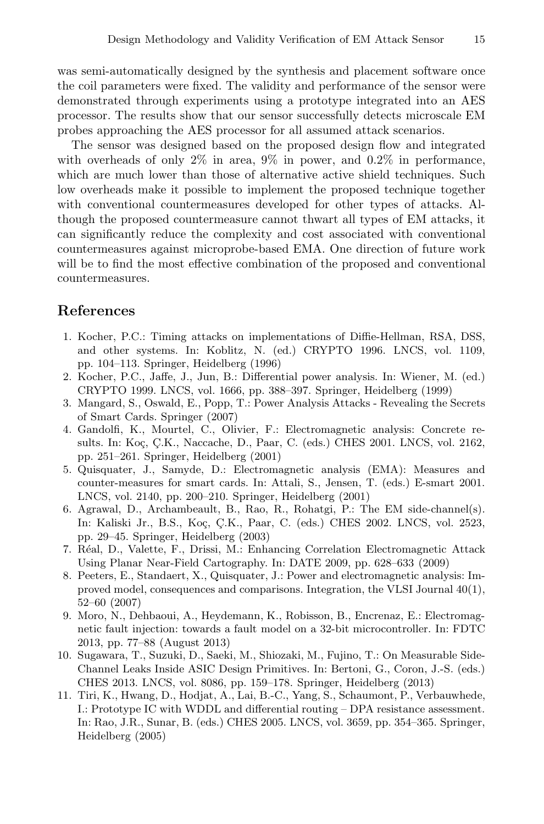was semi-automatically designed by the synthesis and placement software once the coil parameters were fixed. The validity and performance of the sensor were demonstrated through experiments using a prototype integrated into an AES processor. The results show that our sensor successfully detects microscale EM probes approaching the AES processor for all assumed attack scenarios.

The sensor was designed based on the proposed design flow and integrated with overheads of only 2% in area, 9% in power, and 0.2% in performance, which are much lower than those of alternative active shield techniques. Such low overheads make it possible to implement the proposed technique together with conventional countermeasures developed for other types of attacks. Although the proposed countermeasure cannot thwart all types of EM attacks, it can significantly reduce the complexity and cost associated with conventional countermeasures against microprobe-based EMA. One direction of future work will be to find the most effective combination of the proposed and conventional countermeasures.

#### <span id="page-14-5"></span>**References**

- <span id="page-14-0"></span>1. Kocher, P.C.: Timing attacks on implementations of Diffie-Hellman, RSA, DSS, and other systems. In: Koblitz, N. (ed.) CRYPTO 1996. LNCS, vol. 1109, pp. 104–113. Springer, Heidelberg (1996)
- 2. Kocher, P.C., Jaffe, J., Jun, B.: Differential power analysis. In: Wiener, M. (ed.) CRYPTO 1999. LNCS, vol. 1666, pp. 388–397. Springer, Heidelberg (1999)
- <span id="page-14-1"></span>3. Mangard, S., Oswald, E., Popp, T.: Power Analysis Attacks - Revealing the Secrets of Smart Cards. Springer (2007)
- 4. Gandolfi, K., Mourtel, C., Olivier, F.: Electromagnetic analysis: Concrete results. In: Koç, Ç.K., Naccache, D., Paar, C. (eds.) CHES 2001. LNCS, vol. 2162, pp. 251–261. Springer, Heidelberg (2001)
- <span id="page-14-2"></span>5. Quisquater, J., Samyde, D.: Electromagnetic analysis (EMA): Measures and counter-measures for smart cards. In: Attali, S., Jensen, T. (eds.) E-smart 2001. LNCS, vol. 2140, pp. 200–210. Springer, Heidelberg (2001)
- <span id="page-14-3"></span>6. Agrawal, D., Archambeault, B., Rao, R., Rohatgi, P.: The EM side-channel(s). In: Kaliski Jr., B.S., Koç, Ç.K., Paar, C. (eds.) CHES 2002. LNCS, vol. 2523, pp. 29–45. Springer, Heidelberg (2003)
- <span id="page-14-4"></span>7. R´eal, D., Valette, F., Drissi, M.: Enhancing Correlation Electromagnetic Attack Using Planar Near-Field Cartography. In: DATE 2009, pp. 628–633 (2009)
- 8. Peeters, E., Standaert, X., Quisquater, J.: Power and electromagnetic analysis: Improved model, consequences and comparisons. Integration, the VLSI Journal 40(1), 52–60 (2007)
- 9. Moro, N., Dehbaoui, A., Heydemann, K., Robisson, B., Encrenaz, E.: Electromagnetic fault injection: towards a fault model on a 32-bit microcontroller. In: FDTC 2013, pp. 77–88 (August 2013)
- 10. Sugawara, T., Suzuki, D., Saeki, M., Shiozaki, M., Fujino, T.: On Measurable Side-Channel Leaks Inside ASIC Design Primitives. In: Bertoni, G., Coron, J.-S. (eds.) CHES 2013. LNCS, vol. 8086, pp. 159–178. Springer, Heidelberg (2013)
- 11. Tiri, K., Hwang, D., Hodjat, A., Lai, B.-C., Yang, S., Schaumont, P., Verbauwhede, I.: Prototype IC with WDDL and differential routing – DPA resistance assessment. In: Rao, J.R., Sunar, B. (eds.) CHES 2005. LNCS, vol. 3659, pp. 354–365. Springer, Heidelberg (2005)